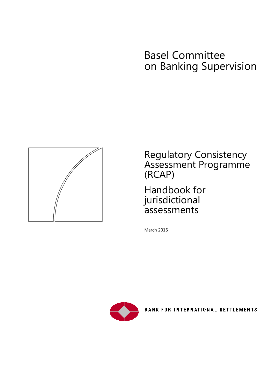# Basel Committee on Banking Supervision



Regulatory Consistency Assessment Programme (RCAP)

Handbook for jurisdictional assessments

March 2016



BANK FOR INTERNATIONAL SETTLEMENTS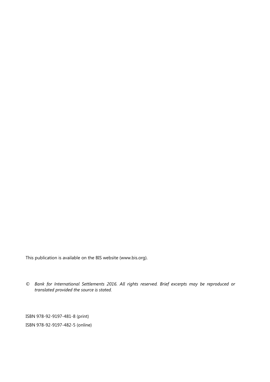This publication is available on the BIS website [\(www.bis.org\)](http://www.bis.org/).

*© Bank for International Settlements 2016. All rights reserved. Brief excerpts may be reproduced or translated provided the source is stated.*

ISBN 978-92-9197-481-8 (print) ISBN 978-92-9197-482-5 (online)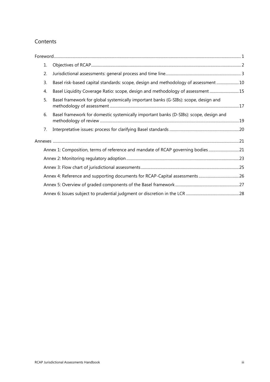### Contents

| 1. |                                                                                       |  |
|----|---------------------------------------------------------------------------------------|--|
| 2. |                                                                                       |  |
| 3. | Basel risk-based capital standards: scope, design and methodology of assessment 10    |  |
| 4. | Basel Liquidity Coverage Ratio: scope, design and methodology of assessment  15       |  |
| 5. | Basel framework for global systemically important banks (G-SIBs): scope, design and   |  |
| 6. | Basel framework for domestic systemically important banks (D-SIBs): scope, design and |  |
| 7. |                                                                                       |  |
|    |                                                                                       |  |
|    | Annex 1: Composition, terms of reference and mandate of RCAP governing bodies21       |  |
|    |                                                                                       |  |
|    |                                                                                       |  |
|    |                                                                                       |  |
|    |                                                                                       |  |
|    |                                                                                       |  |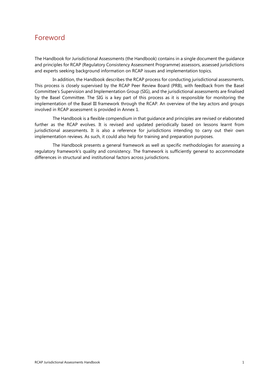# <span id="page-4-0"></span>Foreword

The Handbook for Jurisdictional Assessments (the Handbook) contains in a single document the guidance and principles for RCAP (Regulatory Consistency Assessment Programme) assessors, assessed jurisdictions and experts seeking background information on RCAP issues and implementation topics.

In addition, the Handbook describes the RCAP process for conducting jurisdictional assessments. This process is closely supervised by the RCAP Peer Review Board (PRB), with feedback from the Basel Committee's Supervision and Implementation Group (SIG), and the jurisdictional assessments are finalised by the Basel Committee. The SIG is a key part of this process as it is responsible for monitoring the implementation of the Basel III framework through the RCAP. An overview of the key actors and groups involved in RCAP assessment is provided in Annex 1.

The Handbook is a flexible compendium in that guidance and principles are revised or elaborated further as the RCAP evolves. It is revised and updated periodically based on lessons learnt from jurisdictional assessments. It is also a reference for jurisdictions intending to carry out their own implementation reviews. As such, it could also help for training and preparation purposes.

The Handbook presents a general framework as well as specific methodologies for assessing a regulatory framework's quality and consistency. The framework is sufficiently general to accommodate differences in structural and institutional factors across jurisdictions.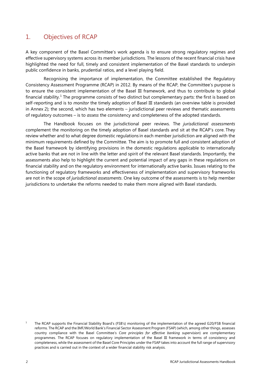### <span id="page-5-0"></span>1. Objectives of RCAP

A key component of the Basel Committee's work agenda is to ensure strong regulatory regimes and effective supervisory systems across its member jurisdictions. The lessons of the recent financial crisis have highlighted the need for full, timely and consistent implementation of the Basel standards to underpin public confidence in banks, prudential ratios, and a level playing field.

Recognising the importance of implementation, the Committee established the Regulatory Consistency Assessment Programme (RCAP) in 2012. By means of the RCAP, the Committee's purpose is to ensure the consistent implementation of the Basel III framework, and thus to contribute to global financial stability.<sup>[1](#page-5-1)</sup> The programme consists of two distinct but complementary parts: the first is based on self-reporting and is to *monitor* the timely adoption of Basel III standards (an overview table is provided in Annex 2); the second, which has two elements – jurisdictional peer reviews and thematic assessments of regulatory outcomes – is to *assess* the consistency and completeness of the adopted standards.

The Handbook focuses on the jurisdictional peer reviews. The *jurisdictional assessments*  complement the monitoring on the timely adoption of Basel standards and sit at the RCAP's core. They review whether and to what degree domestic regulations in each member jurisdiction are aligned with the minimum requirements defined by the Committee. The aim is to promote full and consistent adoption of the Basel framework by identifying provisions in the domestic regulations applicable to internationally active banks that are not in line with the letter and spirit of the relevant Basel standards. Importantly, the assessments also help to highlight the current and potential impact of any gaps in these regulations on financial stability and on the regulatory environment for internationally active banks. Issues relating to the functioning of regulatory frameworks and effectiveness of implementation and supervisory frameworks are not in the scope of *jurisdictional assessments*. One key outcome of the assessments is to help member jurisdictions to undertake the reforms needed to make them more aligned with Basel standards.

<span id="page-5-1"></span><sup>1</sup> The RCAP supports the Financial Stability Board's (FSB's) monitoring of the implementation of the agreed G20/FSB financial reforms. The RCAP and the IMF/World Bank's Financial Sector Assessment Program (FSAP) (which, among other things, assesses country compliance with the Basel Committee's *Core principles for effective banking supervision*) are complementary programmes. The RCAP focuses on regulatory implementation of the Basel III framework in terms of consistency and completeness, while the assessment of the Basel Core Principles under the FSAP takes into account the full range of supervisory practices and is carried out in the context of a wider financial stability risk analysis.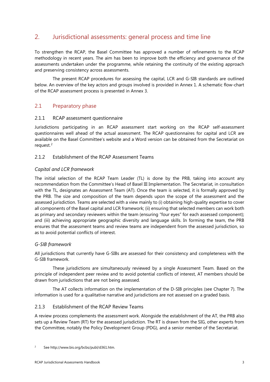### <span id="page-6-0"></span>2. Jurisdictional assessments: general process and time line

To strengthen the RCAP, the Basel Committee has approved a number of refinements to the RCAP methodology in recent years. The aim has been to improve both the efficiency and governance of the assessments undertaken under the programme, while retaining the continuity of the existing approach and preserving consistency across assessments.

The present RCAP procedures for assessing the capital, LCR and G-SIB standards are outlined below. An overview of the key actors and groups involved is provided in Annex 1. A schematic flow-chart of the RCAP assessment process is presented in Annex 3.

### 2.1 Preparatory phase

#### 2.1.1 RCAP assessment questionnaire

Jurisdictions participating in an RCAP assessment start working on the RCAP self-assessment questionnaires well ahead of the actual assessment. The RCAP questionnaires for capital and LCR are available on the Basel Committee's website and a Word version can be obtained from the Secretariat on request.<sup>[2](#page-6-1)</sup>

#### 2.1.2 Establishment of the RCAP Assessment Teams

#### *Capital and LCR framework*

The initial selection of the RCAP Team Leader (TL) is done by the PRB, taking into account any recommendation from the Committee's Head of Basel III Implementation. The Secretariat, in consultation with the TL, designates an Assessment Team (AT). Once the team is selected, it is formally approved by the PRB. The size and composition of the team depends upon the scope of the assessment and the assessed jurisdiction. Teams are selected with a view mainly to (i) obtaining high-quality expertise to cover all components of the Basel capital and LCR framework; (ii) ensuring that selected members can work both as primary and secondary reviewers within the team (ensuring "four eyes" for each assessed component); and (iii) achieving appropriate geographic diversity and language skills. In forming the team, the PRB ensures that the assessment teams and review teams are independent from the assessed jurisdiction, so as to avoid potential conflicts of interest.

#### *G-SIB framework*

All jurisdictions that currently have G-SIBs are assessed for their consistency and completeness with the G-SIB framework.

These jurisdictions are simultaneously reviewed by a single Assessment Team. Based on the principle of independent peer review and to avoid potential conflicts of interest, AT members should be drawn from jurisdictions that are not being assessed.

The AT collects information on the implementation of the D-SIB principles (see Chapter 7). The information is used for a qualitative narrative and jurisdictions are not assessed on a graded basis.

#### 2.1.3 Establishment of the RCAP Review Teams

A review process complements the assessment work. Alongside the establishment of the AT, the PRB also sets up a Review Team (RT) for the assessed jurisdiction. The RT is drawn from the SIG, other experts from the Committee, notably the Policy Development Group (PDG), and a senior member of the Secretariat.

<span id="page-6-1"></span><sup>2</sup> Se[e http://www.bis.org/bcbs/publ/d361.htm.](http://www.bis.org/bcbs/publ/d361.htm)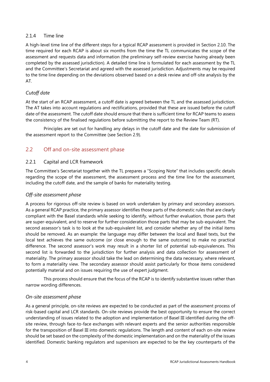#### 2.1.4 Time line

A high-level time line of the different steps for a typical RCAP assessment is provided in Section 2.10. The time required for each RCAP is about six months from the time the TL communicates the scope of the assessment and requests data and information (the preliminary self-review exercise having already been completed by the assessed jurisdiction). A detailed time line is formulated for each assessment by the TL and the Committee's Secretariat and agreed with the assessed jurisdiction. Adjustments may be required to the time line depending on the deviations observed based on a desk review and off-site analysis by the AT.

### *Cutoff date*

At the start of an RCAP assessment, a cutoff date is agreed between the TL and the assessed jurisdiction. The AT takes into account regulations and rectifications, provided that these are issued before the cutoff date of the assessment. The cutoff date should ensure that there is sufficient time for RCAP teams to assess the consistency of the finalised regulations before submitting the report to the Review Team (RT).

Principles are set out for handling any delays in the cutoff date and the date for submission of the assessment report to the Committee (see Section 2.9).

### 2.2 Off and on-site assessment phase

#### 2.2.1 Capital and LCR framework

The Committee's Secretariat together with the TL prepares a "Scoping Note" that includes specific details regarding the scope of the assessment, the assessment process and the time line for the assessment, including the cutoff date, and the sample of banks for materiality testing.

#### *Off-site assessment phase*

A process for rigorous off-site review is based on work undertaken by primary and secondary assessors. As a general RCAP practice, the primary assessor identifies those parts of the domestic rules that are clearly compliant with the Basel standards while seeking to identify, without further evaluation, those parts that are super-equivalent, and to reserve for further consideration those parts that may be sub-equivalent. The second assessor's task is to look at the sub-equivalent list, and consider whether any of the initial items should be removed. As an example: the language may differ between the local and Basel texts, but the local text achieves the same outcome (or close enough to the same outcome) to make no practical difference. The second assessor's work may result in a shorter list of potential sub-equivalences. This second list is forwarded to the jurisdiction for further analysis and data collection for assessment of materiality. The primary assessor should take the lead on determining the data necessary, where relevant, to form a materiality view. The secondary assessor should assist particularly for those items considered potentially material and on issues requiring the use of expert judgment.

This process should ensure that the focus of the RCAP is to identify substantive issues rather than narrow wording differences.

#### *On-site assessment phase*

As a general principle, on-site reviews are expected to be conducted as part of the assessment process of risk-based capital and LCR standards. On-site reviews provide the best opportunity to ensure the correct understanding of issues related to the adoption and implementation of Basel III identified during the offsite review, through face-to-face exchanges with relevant experts and the senior authorities responsible for the transposition of Basel III into domestic regulations. The length and content of each on-site review should be set based on the complexity of the domestic implementation and on the materiality of the issues identified. Domestic banking regulators and supervisors are expected to be the key counterparts of the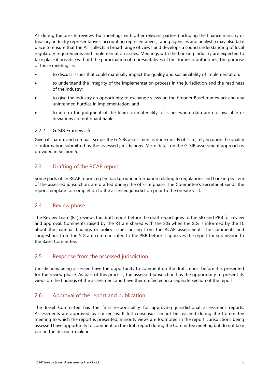AT during the on-site reviews, but meetings with other relevant parties (including the finance ministry or treasury, industry representatives, accounting representatives, rating agencies and analysts) may also take place to ensure that the AT collects a broad range of views and develops a sound understanding of local regulatory requirements and implementation issues. Meetings with the banking industry are expected to take place if possible without the participation of representatives of the domestic authorities. The purpose of these meetings is:

- to discuss issues that could materially impact the quality and sustainability of implementation;
- to understand the integrity of the implementation process in the jurisdiction and the readiness of the industry;
- to give the industry an opportunity to exchange views on the broader Basel framework and any unintended hurdles in implementation; and
- to inform the judgment of the team on materiality of issues where data are not available or deviations are not quantifiable.

#### 2.2.2 G-SIB Framework

Given its nature and compact scope, the G-SIBs assessment is done mostly off-site, relying upon the quality of information submitted by the assessed jurisdictions. More detail on the G-SIB assessment approach is provided in Section 5.

### 2.3 Drafting of the RCAP report

Some parts of an RCAP report, eg the background information relating to regulations and banking system of the assessed jurisdiction, are drafted during the off-site phase. The Committee's Secretariat sends the report template for completion to the assessed jurisdiction prior to the on-site visit.

#### 2.4 Review phase

The Review Team (RT) reviews the draft report before the draft report goes to the SIG and PRB for review and approval. Comments raised by the RT are shared with the SIG when the SIG is informed by the TL about the material findings or policy issues arising from the RCAP assessment. The comments and suggestions from the SIG are communicated to the PRB before it approves the report for submission to the Basel Committee.

### 2.5 Response from the assessed jurisdiction

Jurisdictions being assessed have the opportunity to comment on the draft report before it is presented for the review phase. As part of this process, the assessed jurisdiction has the opportunity to present its views on the findings of the assessment and have them reflected in a separate section of the report.

### 2.6 Approval of the report and publication

The Basel Committee has the final responsibility for approving jurisdictional assessment reports. Assessments are approved by consensus. If full consensus cannot be reached during the Committee meeting to which the report is presented, minority views are footnoted in the report. Jurisdictions being assessed have opportunity to comment on the draft report during the Committee meeting but do not take part in the decision-making.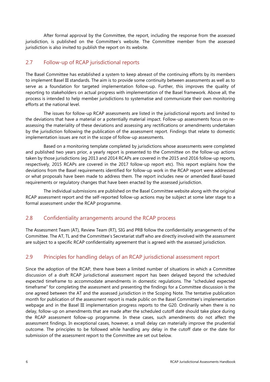After formal approval by the Committee, the report, including the response from the assessed jurisdiction, is published on the Committee's website. The Committee member from the assessed jurisdiction is also invited to publish the report on its website.

### 2.7 Follow-up of RCAP jurisdictional reports

The Basel Committee has established a system to keep abreast of the continuing efforts by its members to implement Basel III standards. The aim is to provide some continuity between assessments as well as to serve as a foundation for targeted implementation follow-up. Further, this improves the quality of reporting to stakeholders on actual progress with implementation of the Basel framework. Above all, the process is intended to help member jurisdictions to systematise and communicate their own monitoring efforts at the national level.

The issues for follow-up RCAP assessments are listed in the jurisdictional reports and limited to the deviations that have a material or a potentially material impact. Follow-up assessments focus on reassessing the materiality of these deviations and assessing any rectifications or amendments undertaken by the jurisdiction following the publication of the assessment report. Findings that relate to domestic implementation issues are not in the scope of follow-up assessments.

Based on a monitoring template completed by jurisdictions whose assessments were completed and published two years prior, a yearly report is presented to the Committee on the follow-up actions taken by those jurisdictions (eg 2013 and 2014 RCAPs are covered in the 2015 and 2016 follow-up reports, respectively, 2015 RCAPs are covered in the 2017 follow-up report etc). This report explains how the deviations from the Basel requirements identified for follow-up work in the RCAP report were addressed or what proposals have been made to address them. The report includes new or amended Basel-based requirements or regulatory changes that have been enacted by the assessed jurisdiction.

The individual submissions are published on the Basel Committee website along with the original RCAP assessment report and the self-reported follow-up actions may be subject at some later stage to a formal assessment under the RCAP programme.

### 2.8 Confidentiality arrangements around the RCAP process

The Assessment Team (AT), Review Team (RT), SIG and PRB follow the confidentiality arrangements of the Committee. The AT, TL and the Committee's Secretariat staff who are directly involved with the assessment are subject to a specific RCAP confidentiality agreement that is agreed with the assessed jurisdiction.

### 2.9 Principles for handling delays of an RCAP jurisdictional assessment report

Since the adoption of the RCAP, there have been a limited number of situations in which a Committee discussion of a draft RCAP jurisdictional assessment report has been delayed beyond the scheduled expected timeframe to accommodate amendments in domestic regulations. The "scheduled expected timeframe" for completing the assessment and presenting the findings for a Committee discussion is the one agreed between the AT and the assessed jurisdiction in the Scoping Note. The tentative publication month for publication of the assessment report is made public on the Basel Committee's implementation webpage and in the Basel III implementation progress reports to the G20. Ordinarily when there is no delay, follow-up on amendments that are made after the scheduled cutoff date should take place during the RCAP assessment follow-up programme. In these cases, such amendments do not affect the assessment findings. In exceptional cases, however, a small delay can materially improve the prudential outcome. The principles to be followed while handling any delay in the cutoff date or the date for submission of the assessment report to the Committee are set out below.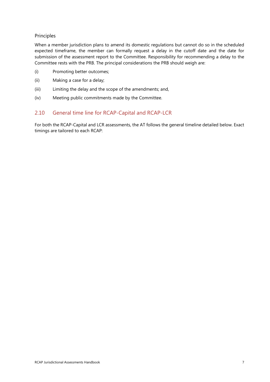#### Principles

When a member jurisdiction plans to amend its domestic regulations but cannot do so in the scheduled expected timeframe, the member can formally request a delay in the cutoff date and the date for submission of the assessment report to the Committee. Responsibility for recommending a delay to the Committee rests with the PRB. The principal considerations the PRB should weigh are:

- (i) Promoting better outcomes;
- (ii) Making a case for a delay;
- (iii) Limiting the delay and the scope of the amendments; and,
- (iv) Meeting public commitments made by the Committee.

### 2.10 General time line for RCAP-Capital and RCAP-LCR

For both the RCAP-Capital and LCR assessments, the AT follows the general timeline detailed below. Exact timings are tailored to each RCAP: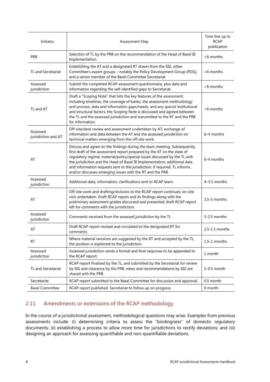| Initiator                       | <b>Assessment Step</b>                                                                                                                                                                                                                                                                                                                                                                                                                                     | Time line up to<br><b>RCAP</b><br>publication |  |
|---------------------------------|------------------------------------------------------------------------------------------------------------------------------------------------------------------------------------------------------------------------------------------------------------------------------------------------------------------------------------------------------------------------------------------------------------------------------------------------------------|-----------------------------------------------|--|
| <b>PRB</b>                      | Selection of TL by the PRB on the recommendation of the Head of Basel III<br>Implementation.                                                                                                                                                                                                                                                                                                                                                               | >6 months                                     |  |
| <b>TL and Secretariat</b>       | Establishing the AT and a designated RT drawn from the SIG, other<br>Committee's expert groups - notably the Policy Development Group (PDG),<br>and a senior member of the Basel Committee Secretariat.                                                                                                                                                                                                                                                    | >6 months                                     |  |
| Assessed<br>jurisdiction        | Submit the completed RCAP assessment questionnaire, plus data and<br>information regarding the self-identified gaps to Secretariat.                                                                                                                                                                                                                                                                                                                        | >6 months                                     |  |
| TL and AT                       | Draft a "Scoping Note" that lists the key features of the assessment,<br>including timelines, the coverage of banks, the assessment methodology<br>and process, data and information gaps/needs, and any special institutional<br>and structural factors; the Scoping Note is discussed and agreed between<br>the TL and the assessed jurisdiction and transmitted to the RT and the PRB<br>for information.                                               | >6 months                                     |  |
| Assessed<br>jurisdiction and AT | Off-site/desk review and assessment undertaken by AT; exchange of<br>information and data between the AT and the assessed jurisdiction on<br>technical matters emerging from the off-site work.                                                                                                                                                                                                                                                            | 6-4 months                                    |  |
| AT                              | Discuss and agree on the findings during the team meeting. Subsequently,<br>first draft of the assessment report prepared by the AT on the state of<br>regulatory regime; material/policy/special issues discussed by the TL with<br>the jurisdiction and the Head of Basel III Implementation; additional data<br>and information requests sent to the jurisdiction; if required, TL informs<br>and/or discusses emerging issues with the RT and the PRB. | 6-4 months                                    |  |
| Assessed<br>jurisdiction        | Additional data, information, clarifications sent to RCAP team.                                                                                                                                                                                                                                                                                                                                                                                            | $4-3.5$ months                                |  |
| AT                              | Off-site work and drafting/revisions to the RCAP report continues; on-site<br>visit undertaken. Draft RCAP report and its findings along with the<br>preliminary assessment grades discussed and presented; draft RCAP report<br>left for comments with the jurisdiction.                                                                                                                                                                                  | 3.5-3 months                                  |  |
| Assessed<br>jurisdiction        | Comments received from the assessed jurisdiction by the TL.                                                                                                                                                                                                                                                                                                                                                                                                | 3-2.5 months                                  |  |
| AT                              | Draft RCAP report revised and circulated to the designated RT for<br>comments.                                                                                                                                                                                                                                                                                                                                                                             | 2.5-1.5 months                                |  |
| RT                              | Where material revisions are suggested by the RT and accepted by the TL,<br>the position is explained to the jurisdiction.                                                                                                                                                                                                                                                                                                                                 | 1.5-1 months                                  |  |
| Assessed<br>jurisdiction        | Assessed jurisdiction sends a formal and final response to be appended to<br>the RCAP report.                                                                                                                                                                                                                                                                                                                                                              | 1 month                                       |  |
| <b>TL and Secretariat</b>       | RCAP report finalised by the TL, and submitted by the Secretariat for review<br>by SIG and clearance by the PRB; views and recommendations by SIG are<br>shared with the PRB.                                                                                                                                                                                                                                                                              | $1-0.5$ month                                 |  |
| Secretariat                     | RCAP report submitted to the Basel Committee for discussion and approval.                                                                                                                                                                                                                                                                                                                                                                                  | 0.5 month                                     |  |
| <b>Basel Committee</b>          | RCAP report published. Secretariat to follow up on progress.                                                                                                                                                                                                                                                                                                                                                                                               |                                               |  |

### 2.11 Amendments or extensions of the RCAP methodology

In the course of a jurisdictional assessment, methodological questions may arise. Examples from previous assessments include: (i) determining criteria to assess the "bindingness" of domestic regulatory documents; (ii) establishing a process to allow more time for jurisdictions to rectify deviations; and (iii) designing an approach for assessing quantifiable and non-quantifiable deviations.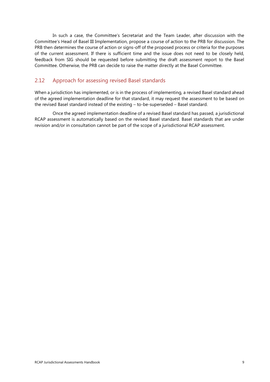In such a case, the Committee's Secretariat and the Team Leader, after discussion with the Committee's Head of Basel III Implementation, propose a course of action to the PRB for discussion. The PRB then determines the course of action or signs-off of the proposed process or criteria for the purposes of the current assessment. If there is sufficient time and the issue does not need to be closely held, feedback from SIG should be requested before submitting the draft assessment report to the Basel Committee. Otherwise, the PRB can decide to raise the matter directly at the Basel Committee.

### 2.12 Approach for assessing revised Basel standards

When a jurisdiction has implemented, or is in the process of implementing, a revised Basel standard ahead of the agreed implementation deadline for that standard, it may request the assessment to be based on the revised Basel standard instead of the existing – to-be-superseded – Basel standard.

Once the agreed implementation deadline of a revised Basel standard has passed, a jurisdictional RCAP assessment is automatically based on the revised Basel standard. Basel standards that are under revision and/or in consultation cannot be part of the scope of a jurisdictional RCAP assessment.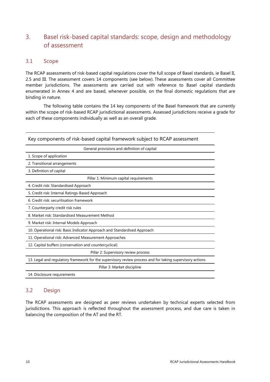### <span id="page-13-0"></span>3. Basel risk-based capital standards: scope, design and methodology of assessment

### 3.1 Scope

The RCAP assessments of risk-based capital regulations cover the full scope of Basel standards, ie Basel II, 2.5 and III. The assessment covers 14 components (see below). These assessments cover all Committee member jurisdictions. The assessments are carried out with reference to Basel capital standards enumerated in Annex 4 and are based, whenever possible, on the final domestic regulations that are binding in nature.

The following table contains the 14 key components of the Basel framework that are currently within the scope of risk-based RCAP jurisdictional assessments. Assessed jurisdictions receive a grade for each of these components individually as well as an overall grade.

| Key components of risk-based capital framework subject to RCAP assessment                                |
|----------------------------------------------------------------------------------------------------------|
| General provisions and definition of capital                                                             |
| 1. Scope of application                                                                                  |
| 2. Transitional arrangements                                                                             |
| 3. Definition of capital                                                                                 |
| Pillar 1: Minimum capital requirements                                                                   |
| 4. Credit risk: Standardised Approach                                                                    |
| 5. Credit risk: Internal Ratings-Based Approach                                                          |
| 6. Credit risk: securitisation framework                                                                 |
| 7. Counterparty credit risk rules                                                                        |
| 8. Market risk: Standardised Measurement Method                                                          |
| 9. Market risk: Internal Models Approach                                                                 |
| 10. Operational risk: Basic Indicator Approach and Standardised Approach                                 |
| 11. Operational risk: Advanced Measurement Approaches                                                    |
| 12. Capital buffers (conservation and countercyclical)                                                   |
| Pillar 2: Supervisory review process                                                                     |
| 13. Legal and regulatory framework for the supervisory review process and for taking supervisory actions |
| Pillar 3: Market discipline                                                                              |
| 14. Disclosure requirements                                                                              |

### 3.2 Design

The RCAP assessments are designed as peer reviews undertaken by technical experts selected from jurisdictions. This approach is reflected throughout the assessment process, and due care is taken in balancing the composition of the AT and the RT.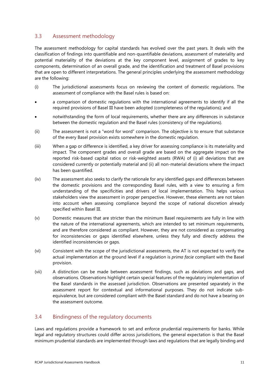### 3.3 Assessment methodology

The assessment methodology for capital standards has evolved over the past years. It deals with the classification of findings into quantifiable and non-quantifiable deviations, assessment of materiality and potential materiality of the deviations at the key component level, assignment of grades to key components, determination of an overall grade, and the identification and treatment of Basel provisions that are open to different interpretations. The general principles underlying the assessment methodology are the following:

- (i) The jurisdictional assessments focus on reviewing the content of domestic regulations. The assessment of compliance with the Basel rules is based on:
- a comparison of domestic regulations with the international agreements to identify if all the required provisions of Basel III have been adopted (completeness of the regulations); and
- notwithstanding the form of local requirements, whether there are any differences in substance between the domestic regulation and the Basel rules (consistency of the regulations).
- (ii) The assessment is not a "word for word" comparison. The objective is to ensure that substance of the every Basel provision exists somewhere in the domestic regulation.
- (iii) When a gap or difference is identified, a key driver for assessing compliance is its materiality and impact. The component grades and overall grade are based on the aggregate impact on the reported risk-based capital ratios or risk-weighted assets (RWA) of (i) all deviations that are considered currently or potentially material and (ii) all non-material deviations where the impact has been quantified.
- (iv) The assessment also seeks to clarify the rationale for any identified gaps and differences between the domestic provisions and the corresponding Basel rules, with a view to ensuring a firm understanding of the specificities and drivers of local implementation. This helps various stakeholders view the assessment in proper perspective. However, these elements are not taken into account when assessing compliance beyond the scope of national discretion already specified within Basel III.
- (v) Domestic measures that are stricter than the minimum Basel requirements are fully in line with the nature of the international agreements, which are intended to set minimum requirements, and are therefore considered as compliant. However, they are not considered as compensating for inconsistencies or gaps identified elsewhere, unless they fully and directly address the identified inconsistencies or gaps.
- (vi) Consistent with the scope of the jurisdictional assessments, the AT is not expected to verify the actual implementation at the ground level if a regulation is *prima facie* compliant with the Basel provision.
- (vii) A distinction can be made between assessment findings, such as deviations and gaps, and observations. Observations highlight certain special features of the regulatory implementation of the Basel standards in the assessed jurisdiction. Observations are presented separately in the assessment report for contextual and informational purposes. They do not indicate subequivalence, but are considered compliant with the Basel standard and do not have a bearing on the assessment outcome.

### 3.4 Bindingness of the regulatory documents

Laws and regulations provide a framework to set and enforce prudential requirements for banks. While legal and regulatory structures could differ across jurisdictions, the general expectation is that the Basel minimum prudential standards are implemented through laws and regulations that are legally binding and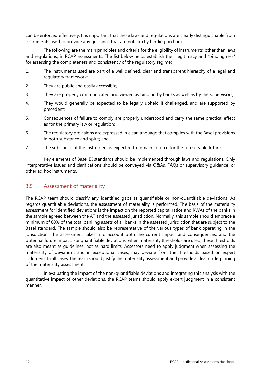can be enforced effectively. It is important that these laws and regulations are clearly distinguishable from instruments used to provide any guidance that are not strictly binding on banks.

The following are the main principles and criteria for the eligibility of instruments, other than laws and regulations, in RCAP assessments. The list below helps establish their legitimacy and "bindingness" for assessing the completeness and consistency of the regulatory regime:

- 1. The instruments used are part of a well defined, clear and transparent hierarchy of a legal and regulatory framework;
- 2. They are public and easily accessible;
- 3. They are properly communicated and viewed as binding by banks as well as by the supervisors;
- 4. They would generally be expected to be legally upheld if challenged, and are supported by precedent;
- 5. Consequences of failure to comply are properly understood and carry the same practical effect as for the primary law or regulation;
- 6. The regulatory provisions are expressed in clear language that complies with the Basel provisions in both substance and spirit; and,
- 7. The substance of the instrument is expected to remain in force for the foreseeable future.

Key elements of Basel III standards should be implemented through laws and regulations. Only interpretative issues and clarifications should be conveyed via Q&As, FAQs or supervisory guidance, or other ad hoc instruments.

### 3.5 Assessment of materiality

The RCAP team should classify any identified gaps as quantifiable or non-quantifiable deviations. As regards quantifiable deviations, the assessment of materiality is performed. The basis of the materiality assessment for identified deviations is the impact on the reported capital ratios and RWAs of the banks in the sample agreed between the AT and the assessed jurisdiction. Normally, this sample should embrace a minimum of 60% of the total banking assets of all banks in the assessed jurisdiction that are subject to the Basel standard. The sample should also be representative of the various types of bank operating in the jurisdiction. The assessment takes into account both the current impact and consequences, and the potential future impact. For quantifiable deviations, when materiality thresholds are used, these thresholds are also meant as guidelines, not as hard limits. Assessors need to apply judgment when assessing the materiality of deviations and in exceptional cases, may deviate from the thresholds based on expert judgment. In all cases, the team should justify the materiality assessment and provide a clear underpinning of the materiality assessment.

In evaluating the impact of the non-quantifiable deviations and integrating this analysis with the quantitative impact of other deviations, the RCAP teams should apply expert judgment in a consistent manner.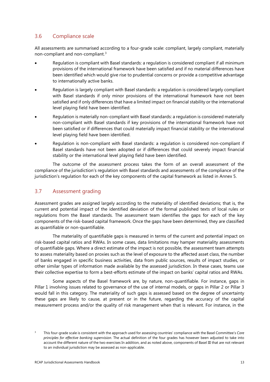### 3.6 Compliance scale

All assessments are summarised according to a four-grade scale: compliant, largely compliant, materially non-compliant and non-compliant.[3](#page-16-0)

- Regulation is compliant with Basel standards: a regulation is considered compliant if all minimum provisions of the international framework have been satisfied and if no material differences have been identified which would give rise to prudential concerns or provide a competitive advantage to internationally active banks.
- Regulation is largely compliant with Basel standards: a regulation is considered largely compliant with Basel standards if only minor provisions of the international framework have not been satisfied and if only differences that have a limited impact on financial stability or the international level playing field have been identified.
- Regulation is materially non-compliant with Basel standards: a regulation is considered materially non-compliant with Basel standards if key provisions of the international framework have not been satisfied or if differences that could materially impact financial stability or the international level playing field have been identified.
- Regulation is non-compliant with Basel standards: a regulation is considered non-compliant if Basel standards have not been adopted or if differences that could severely impact financial stability or the international level playing field have been identified.

The outcome of the assessment process takes the form of an overall assessment of the compliance of the jurisdiction's regulation with Basel standards and assessments of the compliance of the jurisdiction's regulation for each of the key components of the capital framework as listed in Annex 5.

### 3.7 Assessment grading

Assessment grades are assigned largely according to the materiality of identified deviations; that is, the current and potential impact of the identified deviation of the formal published texts of local rules or regulations from the Basel standards. The assessment team identifies the gaps for each of the key components of the risk-based capital framework. Once the gaps have been determined, they are classified as quantifiable or non-quantifiable.

The materiality of quantifiable gaps is measured in terms of the current and potential impact on risk-based capital ratios and RWAs. In some cases, data limitations may hamper materiality assessments of quantifiable gaps. Where a direct estimate of the impact is not possible, the assessment team attempts to assess materiality based on proxies such as the level of exposure to the affected asset class, the number of banks engaged in specific business activities, data from public sources, results of impact studies, or other similar types of information made available by the assessed jurisdiction. In these cases, teams use their collective expertise to form a best-efforts estimate of the impact on banks' capital ratios and RWAs.

Some aspects of the Basel framework are, by nature, non-quantifiable. For instance, gaps in Pillar 1 involving issues related to governance of the use of internal models, or gaps in Pillar 2 or Pillar 3 would fall in this category. The materiality of such gaps is assessed based on the degree of uncertainty these gaps are likely to cause, at present or in the future, regarding the accuracy of the capital measurement process and/or the quality of risk management when that is relevant. For instance, in the

<span id="page-16-0"></span><sup>3</sup> This four-grade scale is consistent with the approach used for assessing countries' compliance with the Basel Committee's *Core principles for effective banking supervision*. The actual definition of the four grades has however been adjusted to take into account the different nature of the two exercises In addition, and as noted above, components of Basel III that are not relevant to an individual jurisdiction may be assessed as non-applicable.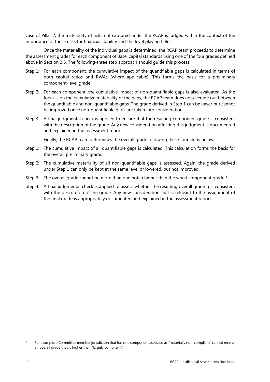case of Pillar 2, the materiality of risks not captured under the RCAP is judged within the context of the importance of these risks for financial stability and the level playing field.

Once the materiality of the individual gaps is determined, the RCAP team proceeds to determine the assessment grades for each component of Basel capital standards using one of the four grades defined above in Section 3.6. The following-three step approach should guide this process:

- Step 1: For each component, the cumulative impact of the quantifiable gaps is calculated in terms of both capital ratios and RWAs (where applicable). This forms the basis for a preliminary component-level grade.
- Step 2: For each component, the cumulative impact of non-quantifiable gaps is also evaluated. As the focus is on the cumulative materiality of the gaps, the RCAP team does not average out between the quantifiable and non-quantifiable gaps. The grade derived in Step 1 can be lower but cannot be improved once non-quantifiable gaps are taken into consideration.
- Step 3: A final judgmental check is applied to ensure that the resulting component grade is consistent with the description of the grade. Any new consideration affecting this judgment is documented and explained in the assessment report.

Finally, the RCAP team determines the overall grade following these four steps below:

- Step 1: The cumulative impact of all quantifiable gaps is calculated. This calculation forms the basis for the overall preliminary grade.
- Step 2: The cumulative materiality of all non-quantifiable gaps is assessed. Again, the grade derived under Step 1 can only be kept at the same level or lowered, but not improved.
- Step 3: The overall grade cannot be more than one notch higher than the worst component grade.<sup>[4](#page-17-0)</sup>
- Step 4: A final judgmental check is applied to assess whether the resulting overall grading is consistent with the description of the grade. Any new consideration that is relevant to the assignment of the final grade is appropriately documented and explained in the assessment report.

<span id="page-17-0"></span><sup>4</sup> For example, a Committee member jurisdiction that has one component assessed as "materially non-compliant" cannot receive an overall grade that is higher than "largely compliant".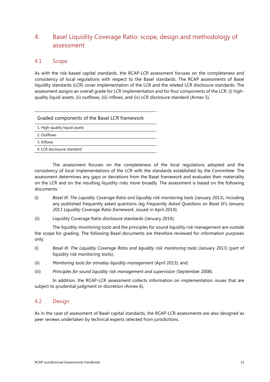### <span id="page-18-0"></span>4. Basel Liquidity Coverage Ratio: scope, design and methodology of assessment

### 4.1 Scope

As with the risk-based capital standards, the RCAP-LCR assessment focuses on the completeness and consistency of local regulations with respect to the Basel standards. The RCAP assessments of Basel liquidity standards (LCR) cover implementation of the LCR and the related LCR disclosure standards. The assessment assigns an overall grade for LCR implementation and for four components of the LCR: (i) highquality liquid assets, (ii) outflows, (iii) inflows, and (iv) LCR disclosure standard (Annex 5).

| 1. High-quality liquid assets |  |
|-------------------------------|--|
| 2. Outflows                   |  |
| 3. Inflows                    |  |
| 4. LCR disclosure standard    |  |

The assessment focuses on the completeness of the local regulations adopted and the consistency of local implementations of the LCR with the standards established by the Committee. The assessment determines any gaps or deviations from the Basel framework and evaluates their materiality on the LCR and on the resulting liquidity risks more broadly. The assessment is based on the following documents:

- (i) *Basel III: The Liquidity Coverage Ratio and liquidity risk monitoring tools* (January 2013), including any published frequently asked questions (eg *Frequently Asked Questions on Basel III's January 2013 Liquidity Coverage Ratio framework*, issued in April 2014);
- (ii) Liquidity Coverage Ratio disclosure standards (January 2014);

The liquidity monitoring tools and the principles for sound liquidity risk management are outside the scope for grading. The following Basel documents are therefore reviewed for information purposes only:

- (i) *Basel III: The Liquidity Coverage Ratio and liquidity risk monitoring tools* (January 2013) (part of liquidity risk monitoring tools);
- (ii) *Monitoring tools for intraday liquidity management* (April 2013); and,
- (iii) *Principles for sound liquidity risk management and supervision* (September 2008).

In addition, the RCAP-LCR assessment collects information on implementation issues that are subject to prudential judgment or discretion (Annex 6).

### 4.2 Design

As in the case of assessment of Basel capital standards, the RCAP-LCR assessments are also designed as peer reviews undertaken by technical experts selected from jurisdictions.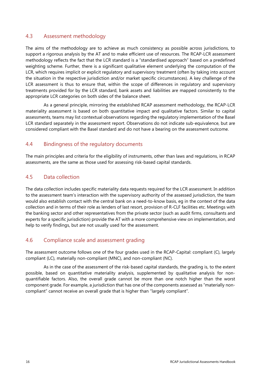### 4.3 Assessment methodology

The aims of the methodology are to achieve as much consistency as possible across jurisdictions, to support a rigorous analysis by the AT and to make efficient use of resources. The RCAP-LCR assessment methodology reflects the fact that the LCR standard is a "standardised approach" based on a predefined weighting scheme. Further, there is a significant qualitative element underlying the computation of the LCR, which requires implicit or explicit regulatory and supervisory treatment (often by taking into account the situation in the respective jurisdiction and/or market specific circumstances). A key challenge of the LCR assessment is thus to ensure that, within the scope of differences in regulatory and supervisory treatments provided for by the LCR standard, bank assets and liabilities are mapped consistently to the appropriate LCR categories on both sides of the balance sheet.

As a general principle, mirroring the established RCAP assessment methodology, the RCAP-LCR materiality assessment is based on both quantitative impact and qualitative factors. Similar to capital assessments, teams may list contextual observations regarding the regulatory implementation of the Basel LCR standard separately in the assessment report. Observations do not indicate sub-equivalence, but are considered compliant with the Basel standard and do not have a bearing on the assessment outcome.

#### 4.4 Bindingness of the regulatory documents

The main principles and criteria for the eligibility of instruments, other than laws and regulations, in RCAP assessments, are the same as those used for assessing risk-based capital standards.

### 4.5 Data collection

The data collection includes specific materiality data requests required for the LCR assessment. In addition to the assessment team's interaction with the supervisory authority of the assessed jurisdiction, the team would also establish contact with the central bank on a need-to-know basis, eg in the context of the data collection and in terms of their role as lenders of last resort, provision of R-CLF facilities etc. Meetings with the banking sector and other representatives from the private sector (such as audit firms, consultants and experts for a specific jurisdiction) provide the AT with a more comprehensive view on implementation, and help to verify findings, but are not usually used for the assessment.

### 4.6 Compliance scale and assessment grading

The assessment outcome follows one of the four grades used in the RCAP-Capital: compliant (C), largely compliant (LC), materially non-compliant (MNC), and non-compliant (NC).

As in the case of the assessment of the risk-based capital standards, the grading is, to the extent possible, based on quantitative materiality analysis, supplemented by qualitative analysis for nonquantifiable factors. Also, the overall grade cannot be more than one notch higher than the worst component grade. For example, a jurisdiction that has one of the components assessed as "materially noncompliant" cannot receive an overall grade that is higher than "largely compliant".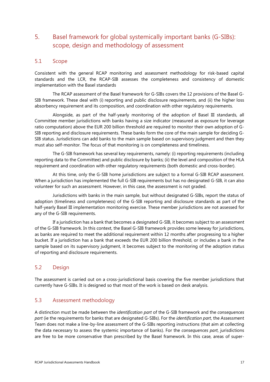### <span id="page-20-0"></span>5. Basel framework for global systemically important banks (G-SIBs): scope, design and methodology of assessment

### 5.1 Scope

Consistent with the general RCAP monitoring and assessment methodology for risk-based capital standards and the LCR, the RCAP-SIB assesses the completeness and consistency of domestic implementation with the Basel standards

The RCAP assessment of the Basel framework for G-SIBs covers the 12 provisions of the Basel G-SIB framework. These deal with (i) reporting and public disclosure requirements, and (ii) the higher loss absorbency requirement and its composition, and coordination with other regulatory requirements.

Alongside, as part of the half-yearly monitoring of the adoption of Basel III standards, all Committee member jurisdictions with banks having a size indicator (measured as exposure for leverage ratio computation) above the EUR 200 billion threshold are required to monitor their own adoption of G-SIB reporting and disclosure requirements. These banks form the core of the main sample for deciding G-SIB status. Jurisdictions can add banks to the main sample based on supervisory judgment and then they must also self-monitor. The focus of that monitoring is on completeness and timeliness.

The G-SIB framework has several key requirements, namely: (i) reporting requirements (including reporting data to the Committee) and public disclosure by banks; (ii) the level and composition of the HLA requirement and coordination with other regulatory requirements (both domestic and cross-border).

At this time, only the G-SIB home jurisdictions are subject to a formal G-SIB RCAP assessment. When a jurisdiction has implemented the full G-SIB requirements but has no designated G-SIB, it can also volunteer for such an assessment. However, in this case, the assessment is not graded.

Jurisdictions with banks in the main sample, but without designated G-SIBs, report the status of adoption (timeliness and completeness) of the G-SIB reporting and disclosure standards as part of the half-yearly Basel III implementation monitoring exercise. These member jurisdictions are not assessed for any of the G-SIB requirements.

If a jurisdiction has a bank that becomes a designated G-SIB, it becomes subject to an assessment of the G-SIB framework. In this context, the Basel G-SIB framework provides some leeway for jurisdictions, as banks are required to meet the additional requirement within 12 months after progressing to a higher bucket. If a jurisdiction has a bank that exceeds the EUR 200 billion threshold, or includes a bank in the sample based on its supervisory judgment, it becomes subject to the monitoring of the adoption status of reporting and disclosure requirements.

### 5.2 Design

The assessment is carried out on a cross-jurisdictional basis covering the five member jurisdictions that currently have G-SIBs. It is designed so that most of the work is based on desk analysis.

### 5.3 Assessment methodology

A distinction must be made between the *identification part* of the G-SIB framework and the *consequences part* (ie the requirements for banks that are designated G-SIBs). For the *identification part*, the Assessment Team does not make a line-by-line assessment of the G-SIBs reporting instructions (that aim at collecting the data necessary to assess the systemic importance of banks). For the *consequences part*, jurisdictions are free to be more conservative than prescribed by the Basel framework. In this case, areas of super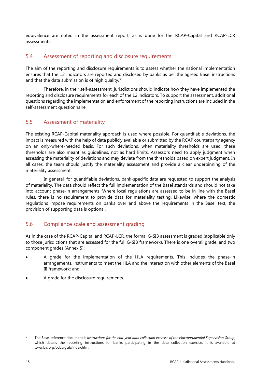equivalence are noted in the assessment report, as is done for the RCAP-Capital and RCAP-LCR assessments.

### 5.4 Assessment of reporting and disclosure requirements

The aim of the reporting and disclosure requirements is to assess whether the national implementation ensures that the 12 indicators are reported and disclosed by banks as per the agreed Basel instructions and that the data submission is of high quality.<sup>[5](#page-21-0)</sup>

Therefore, in their self-assessment, jurisdictions should indicate how they have implemented the reporting and disclosure requirements for each of the 12 indicators. To support the assessment, additional questions regarding the implementation and enforcement of the reporting instructions are included in the self-assessment questionnaire.

### 5.5 Assessment of materiality

The existing RCAP-Capital materiality approach is used where possible. For quantifiable deviations, the impact is measured with the help of data publicly available or submitted by the RCAP counterparty agency on an only-where-needed basis. For such deviations, when materiality thresholds are used, these thresholds are also meant as guidelines, not as hard limits. Assessors need to apply judgment when assessing the materiality of deviations and may deviate from the thresholds based on expert judgment. In all cases, the team should justify the materiality assessment and provide a clear underpinning of the materiality assessment.

In general, for quantifiable deviations, bank-specific data are requested to support the analysis of materiality. The data should reflect the full implementation of the Basel standards and should not take into account phase-in arrangements. Where local regulations are assessed to be in line with the Basel rules, there is no requirement to provide data for materiality testing. Likewise, where the domestic regulations impose requirements on banks over and above the requirements in the Basel text, the provision of supporting data is optional.

### 5.6 Compliance scale and assessment grading

As in the case of the RCAP-Capital and RCAP-LCR, the formal G-SIB assessment is graded (applicable only to those jurisdictions that are assessed for the full G-SIB framework). There is one overall grade, and two component grades (Annex 5):

- A grade for the implementation of the HLA requirements. This includes the phase-in arrangements, instruments to meet the HLA and the interaction with other elements of the Basel III framework; and,
- A grade for the disclosure requirements.

<span id="page-21-0"></span><sup>&</sup>lt;sup>5</sup> The Basel reference document is *Instructions for the end-year data collection exercise of the Macroprudential Supervision Group,* which details the reporting instructions for banks participating in the data collection exercise. It is available at [www.bis.org/bcbs/gsib/index.htm.](http://www.bis.org/bcbs/gsib/index.htm)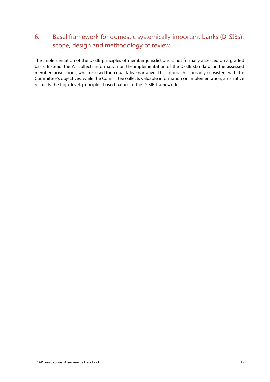### <span id="page-22-0"></span>6. Basel framework for domestic systemically important banks (D-SIBs): scope, design and methodology of review

The implementation of the D-SIB principles of member jurisdictions is not formally assessed on a graded basis. Instead, the AT collects information on the implementation of the D-SIB standards in the assessed member jurisdictions, which is used for a qualitative narrative. This approach is broadly consistent with the Committee's objectives; while the Committee collects valuable information on implementation, a narrative respects the high-level, principles-based nature of the D-SIB framework.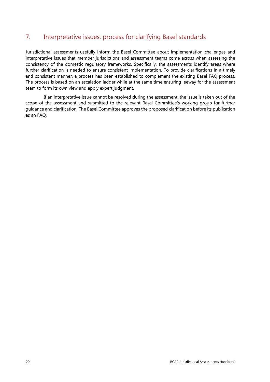### <span id="page-23-0"></span>7. Interpretative issues: process for clarifying Basel standards

Jurisdictional assessments usefully inform the Basel Committee about implementation challenges and interpretative issues that member jurisdictions and assessment teams come across when assessing the consistency of the domestic regulatory frameworks. Specifically, the assessments identify areas where further clarification is needed to ensure consistent implementation. To provide clarifications in a timely and consistent manner, a process has been established to complement the existing Basel FAQ process. The process is based on an escalation ladder while at the same time ensuring leeway for the assessment team to form its own view and apply expert judgment.

If an interpretative issue cannot be resolved during the assessment, the issue is taken out of the scope of the assessment and submitted to the relevant Basel Committee's working group for further guidance and clarification. The Basel Committee approves the proposed clarification before its publication as an FAQ.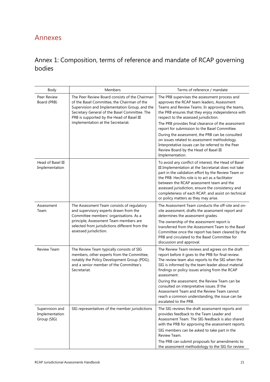# <span id="page-24-0"></span>Annexes

# <span id="page-24-1"></span>Annex 1: Composition, terms of reference and mandate of RCAP governing bodies

| Body                                             | Members                                                                                                                                                                                                                                              | Terms of reference / mandate                                                                                                                                                                                                                                                                                                                                                                                                                                                                             |
|--------------------------------------------------|------------------------------------------------------------------------------------------------------------------------------------------------------------------------------------------------------------------------------------------------------|----------------------------------------------------------------------------------------------------------------------------------------------------------------------------------------------------------------------------------------------------------------------------------------------------------------------------------------------------------------------------------------------------------------------------------------------------------------------------------------------------------|
| Peer Review<br>Board (PRB)                       | The Peer Review Board consists of the Chairman<br>of the Basel Committee, the Chairman of the<br>Supervision and Implementation Group, and the<br>Secretary General of the Basel Committee. The<br>PRB is supported by the Head of Basel III         | The PRB supervises the assessment process and<br>approves the RCAP team leaders, Assessment<br>Teams and Review Teams. In approving the teams,<br>the PRB ensures that they enjoy independence with<br>respect to the assessed jurisdiction.                                                                                                                                                                                                                                                             |
|                                                  | implementation at the Secretariat.                                                                                                                                                                                                                   | The PRB provides final clearance of the assessment<br>report for submission to the Basel Committee.                                                                                                                                                                                                                                                                                                                                                                                                      |
|                                                  |                                                                                                                                                                                                                                                      | During the assessment, the PRB can be consulted<br>on issues related to assessment methodology.<br>Interpretative issues can be referred to the Peer<br>Review Board by the Head of Basel III<br>Implementation.                                                                                                                                                                                                                                                                                         |
| Head of Basel III<br>Implementation              |                                                                                                                                                                                                                                                      | To avoid any conflict of interest, the Head of Basel<br>III Implementation at the Secretariat does not take<br>part in the validation effort by the Review Team or<br>the PRB. Her/his role is to act as a facilitator<br>between the RCAP assessment team and the<br>assessed jurisdiction, ensure the consistency and<br>completeness of each RCAP, and assist on technical<br>or policy matters as they may arise.                                                                                    |
| Assessment<br>Team                               | The Assessment Team consists of regulatory<br>and supervisory experts drawn from the<br>Committee members' organisations. As a<br>principle, Assessment Team members are<br>selected from jurisdictions different from the<br>assessed jurisdiction. | The Assessment Team conducts the off-site and on-<br>site assessment, drafts the assessment report and<br>determines the assessment grades.<br>The ownership of the assessment report is<br>transferred from the Assessment Team to the Basel<br>Committee once the report has been cleared by the<br>PRB and circulated to the Basel Committee for<br>discussion and approval.                                                                                                                          |
| Review Team                                      | The Review Team typically consists of SIG<br>members, other experts from the Committee,<br>notably the Policy Development Group (PDG),<br>and a senior member of the Committee's<br>Secretariat.                                                     | The Review Team reviews and agrees on the draft<br>report before it goes to the PRB for final review.<br>The review team also reports to the SIG when the<br>SIG is informed by the team leader about material<br>findings or policy issues arising from the RCAP<br>assessment.<br>During the assessment, the Review Team can be<br>consulted on interpretative issues. If the<br>Assessment Team and the Review Team cannot<br>reach a common understanding, the issue can be<br>escalated to the PRB. |
| Supervision and<br>Implementation<br>Group (SIG) | SIG representatives of the member jurisdictions                                                                                                                                                                                                      | The SIG reviews the draft assessment reports and<br>provides feedback to the Team Leader and<br>Assessment Team. The SIG feedback is also shared<br>with the PRB for approving the assessment reports.<br>SIG members can be asked to take part in the<br>Review Team.<br>The PRB can submit proposals for amendments to<br>the assessment methodology to the SIG for review                                                                                                                             |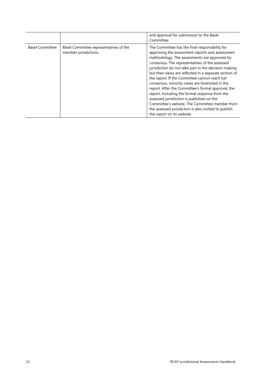|                        |                                                                 | and approval for submission to the Basel<br>Committee.                                                                                                                                                                                                                                                                                                                                                                                                                                                                                                                                                                                                                                                                 |
|------------------------|-----------------------------------------------------------------|------------------------------------------------------------------------------------------------------------------------------------------------------------------------------------------------------------------------------------------------------------------------------------------------------------------------------------------------------------------------------------------------------------------------------------------------------------------------------------------------------------------------------------------------------------------------------------------------------------------------------------------------------------------------------------------------------------------------|
| <b>Basel Committee</b> | Basel Committee representatives of the<br>member jurisdictions. | The Committee has the final responsibility for<br>approving the assessment reports and assessment<br>methodology. The assessments are approved by<br>consensus. The representatives of the assessed<br>jurisdiction do not take part in the decision-making<br>but their views are reflected in a separate section of<br>the report. If the Committee cannot reach full<br>consensus, minority views are footnoted in the<br>report. After the Committee's formal approval, the<br>report, including the formal response from the<br>assessed jurisdiction is published on the<br>Committee's website. The Committee member from<br>the assessed jurisdiction is also invited to publish<br>the report on its website. |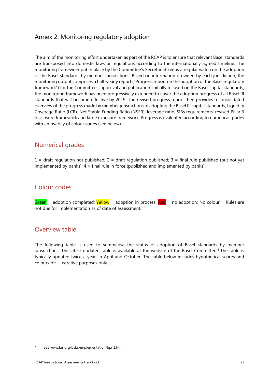### <span id="page-26-0"></span>Annex 2: Monitoring regulatory adoption

The aim of the monitoring effort undertaken as part of the RCAP is to ensure that relevant Basel standards are transposed into domestic laws or regulations according to the internationally agreed timeline. The monitoring framework put in place by the Committee's Secretariat keeps a regular watch on the adoption of the Basel standards by member jurisdictions. Based on information provided by each jurisdiction, the monitoring output comprises a half-yearly report ("Progress report on the adoption of the Basel regulatory framework") for the Committee's approval and publication. Initially focused on the Basel capital standards, the monitoring framework has been progressively extended to cover the adoption progress of all Basel III standards that will become effective by 2019. The revised progress report then provides a consolidated overview of the progress made by member jurisdictions in adopting the Basel III capital standards, Liquidity Coverage Ratio (LCR), Net Stable Funding Ratio (NSFR), leverage ratio, SIBs requirements, revised Pillar 3 disclosure framework and large exposure framework. Progress is evaluated according to numerical grades with an overlay of colour codes (see below).

### Numerical grades

 $1 =$  draft regulation not published;  $2 =$  draft regulation published;  $3 =$  final rule published (but not yet implemented by banks);  $4 = \text{final rule}$  in force (published and implemented by banks).

### Colour codes

Green = adoption completed; Yellow = adoption in process; Red = no adoption; No colour = Rules are not due for implementation as of date of assessment.

### Overview table

The following table is used to summarise the status of adoption of Basel standards by member jurisdictions. The latest updated table is available at the website of the Basel Committee.<sup>[6](#page-26-1)</sup> The table is typically updated twice a year, in April and October. The table below includes hypothetical scores and colours for illustrative purposes only.

<span id="page-26-1"></span>Se[e www.bis.org/bcbs/implementation/bprl1.htm.](http://www.bis.org/bcbs/implementation/bprl1.htm)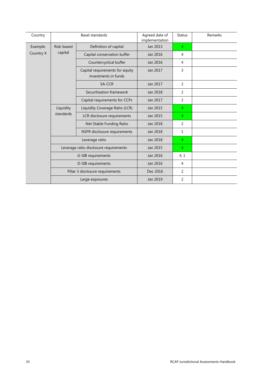| Country   | <b>Basel standards</b>                 |                                                         | Agreed date of<br>implementation | <b>Status</b>  | Remarks |
|-----------|----------------------------------------|---------------------------------------------------------|----------------------------------|----------------|---------|
| Example:  | Risk-based                             | Definition of capital                                   | Jan 2013                         | $\overline{4}$ |         |
| Country X | capital                                | Capital conservation buffer                             | Jan 2016                         | $\overline{4}$ |         |
|           |                                        | Countercyclical buffer                                  | Jan 2016                         | 4              |         |
|           |                                        | Capital requirements for equity<br>investments in funds | Jan 2017                         | 3              |         |
|           |                                        | SA-CCR                                                  | Jan 2017                         | 2              |         |
|           |                                        | Securitisation framework                                | Jan 2018                         | 2              |         |
|           |                                        | Capital requirements for CCPs                           | Jan 2017                         | 2              |         |
|           | Liquidity<br>standards                 | Liquidity Coverage Ratio (LCR)                          | Jan 2015                         | 4              |         |
|           |                                        | LCR disclosure requirements                             | Jan 2015                         | 4              |         |
|           |                                        | Net Stable Funding Ratio                                | Jan 2018                         | 2              |         |
|           |                                        | NSFR disclosure requirements                            | Jan 2018                         | 1              |         |
|           |                                        | Leverage ratio                                          | Jan 2018                         | $\overline{4}$ |         |
|           | Leverage ratio disclosure requirements |                                                         | Jan 2015                         | $\overline{4}$ |         |
|           |                                        | G-SIB requirements                                      | Jan 2016                         | 4, 1           |         |
|           | D-SIB requirements                     |                                                         | Jan 2016                         | 4              |         |
|           |                                        | Pillar 3 disclosure requirements                        | Dec 2016                         | 2              |         |
|           |                                        | Large exposures                                         | Jan 2019                         | 2              |         |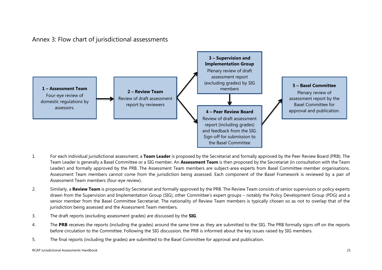### Annex 3: Flow chart of jurisdictional assessments



- <span id="page-28-0"></span>1. For each individual jurisdictional assessment, a **Team Leader** is proposed by the Secretariat and formally approved by the Peer Review Board (PRB). The Team Leader is generally a Basel Committee or a SIG member. An **Assessment Team** is then proposed by the Secretariat (in consultation with the Team Leader) and formally approved by the PRB. The Assessment Team members are subject-area experts from Basel Committee member organisations. Assessment Team members cannot come from the jurisdiction being assessed. Each component of the Basel Framework is reviewed by a pair of Assessment Team members (four-eye review).
- 2. Similarly, a **Review Team** is proposed by Secretariat and formally approved by the PRB. The Review Team consists of senior supervisors or policy experts drawn from the Supervision and Implementation Group (SIG), other Committee's expert groups – notably the Policy Development Group (PDG) and a senior member from the Basel Committee Secretariat. The nationality of Review Team members is typically chosen so as not to overlap that of the jurisdiction being assessed and the Assessment Team members.
- 3. The draft reports (excluding assessment grades) are discussed by the **SIG**.
- 4. The **PRB** receives the reports (including the grades) around the same time as they are submitted to the SIG. The PRB formally signs off on the reports before circulation to the Committee. Following the SIG discussion, the PRB is informed about the key issues raised by SIG members.
- 5. The final reports (including the grades) are submitted to the Basel Committee for approval and publication.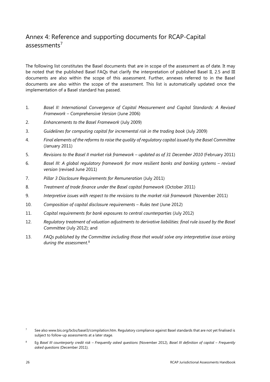### <span id="page-29-0"></span>Annex 4: Reference and supporting documents for RCAP-Capital  $assesments<sup>7</sup>$  $assesments<sup>7</sup>$  $assesments<sup>7</sup>$

The following list constitutes the Basel documents that are in scope of the assessment as of date. It may be noted that the published Basel FAQs that clarify the interpretation of published Basel II, 2.5 and III documents are also within the scope of this assessment. Further, annexes referred to in the Basel documents are also within the scope of the assessment. This list is automatically updated once the implementation of a Basel standard has passed.

- 1. *Basel II: International Convergence of Capital Measurement and Capital Standards: A Revised Framework – Comprehensive Version* (June 2006)
- 2. *Enhancements to the Basel Framework* (July 2009)
- 3. *Guidelines for computing capital for incremental risk in the trading book* (July 2009)
- 4. *Final elements of the reforms to raise the quality of regulatory capital issued by the Basel Committee* (January 2011)
- 5. *Revisions to the Basel II market risk framework – updated as of 31 December 2010* (February 2011)
- 6. *Basel III: A global regulatory framework for more resilient banks and banking systems – revised version* (revised June 2011)
- 7. *Pillar 3 Disclosure Requirements for Remuneration* (July 2011)
- 8. *Treatment of trade finance under the Basel capital framework* (October 2011)
- 9. *Interpretive issues with respect to the revisions to the market risk framework* (November 2011)
- 10. *[Composition of capital disclosure requirements –](http://www.bis.org/publ/bcbs221.htm) Rules text* (June 2012)
- 11. *[Capital requirements for bank exposures to central counterparties](http://www.bis.org/publ/bcbs227.htm)* (July 2012)
- 12. *Regulatory treatment of valuation adjustments to derivative liabilities: final rule issued by the Basel Committee* (July 2012); and
- 13. *FAQs published by the Committee including those that would solve any interpretative issue arising during the assessment*. [8](#page-29-2)

<span id="page-29-1"></span><sup>&</sup>lt;sup>7</sup> See also www.bis.org/bcbs/basel3/compilation.htm. Regulatory compliance against Basel standards that are not yet finalised is subject to follow-up assessments at a later stage.

<span id="page-29-2"></span><sup>8</sup> Eg *Basel III counterparty credit risk – [Frequently asked questions](http://www.bis.org/publ/bcbs235.htm)* (November 2012), *[Basel III definition of capital –](http://www.bis.org/publ/bcbs211.htm) Frequently asked questions* [\(December 2011\).](http://www.bis.org/publ/bcbs211.htm)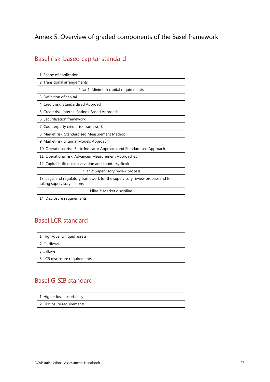# <span id="page-30-0"></span>Annex 5: Overview of graded components of the Basel framework

# Basel risk-based capital standard

| 1. Scope of application                                                                                     |
|-------------------------------------------------------------------------------------------------------------|
| 2. Transitional arrangements                                                                                |
| Pillar 1: Minimum capital requirements                                                                      |
| 3. Definition of capital                                                                                    |
| 4. Credit risk: Standardised Approach                                                                       |
| 5. Credit risk: Internal Ratings-Based Approach                                                             |
| 6. Securitisation framework                                                                                 |
| 7. Counterparty credit risk framework                                                                       |
| 8. Market risk: Standardised Measurement Method                                                             |
| 9. Market risk: Internal Models Approach                                                                    |
| 10. Operational risk: Basic Indicator Approach and Standardised Approach                                    |
| 11. Operational risk: Advanced Measurement Approaches                                                       |
| 12. Capital buffers (conservation and countercyclical)                                                      |
| Pillar 2: Supervisory review process                                                                        |
| 13. Legal and regulatory framework for the supervisory review process and for<br>taking supervisory actions |
| Pillar 3: Market discipline                                                                                 |
| 14. Disclosure requirements                                                                                 |

# Basel LCR standard

| 1. High-quality liquid assets  |  |  |
|--------------------------------|--|--|
| 2. Outflows                    |  |  |
| 3. Inflows                     |  |  |
| 3. LCR disclosure requirements |  |  |
|                                |  |  |

## Basel G-SIB standard

| 1. Higher loss absorbency  |  |  |  |
|----------------------------|--|--|--|
| 2. Disclosure requirements |  |  |  |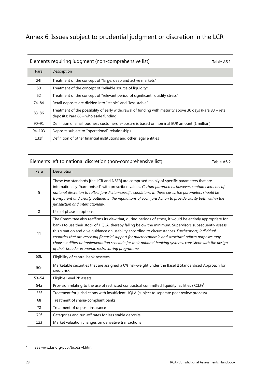# <span id="page-31-0"></span>Annex 6: Issues subject to prudential judgment or discretion in the LCR

### Elements requiring judgment (non-comprehensive list) Table A6.1

| Para       | Description                                                                                                                                         |
|------------|-----------------------------------------------------------------------------------------------------------------------------------------------------|
| 24f        | Treatment of the concept of "large, deep and active markets"                                                                                        |
| 50         | Treatment of the concept of "reliable source of liquidity"                                                                                          |
| 52         | Treatment of the concept of "relevant period of significant liquidity stress"                                                                       |
| 74-84      | Retail deposits are divided into "stable" and "less stable"                                                                                         |
| 83, 86     | Treatment of the possibility of early withdrawal of funding with maturity above 30 days (Para 83 – retail<br>deposits; Para 86 - wholesale funding) |
| $90 - 91$  | Definition of small business customers' exposure is based on nominal EUR amount (1 million)                                                         |
| $94 - 103$ | Deposits subject to "operational" relationships                                                                                                     |
| 131f       | Definition of other financial institutions and other legal entities                                                                                 |

#### Elements left to national discretion (non-comprehensive list) Table A6.2

| Para            | Description                                                                                                                                                                                                                                                                                                                                                                                                                                                                                                                                                                                       |
|-----------------|---------------------------------------------------------------------------------------------------------------------------------------------------------------------------------------------------------------------------------------------------------------------------------------------------------------------------------------------------------------------------------------------------------------------------------------------------------------------------------------------------------------------------------------------------------------------------------------------------|
| 5               | These two standards [the LCR and NSFR] are comprised mainly of specific parameters that are<br>internationally "harmonised" with prescribed values. Certain parameters, however, contain elements of<br>national discretion to reflect jurisdiction-specific conditions. In these cases, the parameters should be<br>transparent and clearly outlined in the regulations of each jurisdiction to provide clarity both within the<br>jurisdiction and internationally.                                                                                                                             |
| 8               | Use of phase-in options                                                                                                                                                                                                                                                                                                                                                                                                                                                                                                                                                                           |
| 11              | The Committee also reaffirms its view that, during periods of stress, it would be entirely appropriate for<br>banks to use their stock of HQLA, thereby falling below the minimum. Supervisors subsequently assess<br>this situation and give guidance on usability according to circumstances. Furthermore, individual<br>countries that are receiving financial support for macroeconomic and structural reform purposes may<br>choose a different implementation schedule for their national banking systems, consistent with the design<br>of their broader economic restructuring programme. |
| 50 <sub>b</sub> | Eligibility of central bank reserves                                                                                                                                                                                                                                                                                                                                                                                                                                                                                                                                                              |
| 50c             | Marketable securities that are assigned a 0% risk-weight under the Basel II Standardised Approach for<br>credit risk                                                                                                                                                                                                                                                                                                                                                                                                                                                                              |
| $53 - 54$       | Eligible Level 2B assets                                                                                                                                                                                                                                                                                                                                                                                                                                                                                                                                                                          |
| 54a             | Provision relating to the use of restricted contractual committed liquidity facilities (RCLF) <sup>9</sup>                                                                                                                                                                                                                                                                                                                                                                                                                                                                                        |
| 55f             | Treatment for jurisdictions with insufficient HQLA (subject to separate peer review process)                                                                                                                                                                                                                                                                                                                                                                                                                                                                                                      |
| 68              | Treatment of sharia-compliant banks                                                                                                                                                                                                                                                                                                                                                                                                                                                                                                                                                               |
| 78              | Treatment of deposit insurance                                                                                                                                                                                                                                                                                                                                                                                                                                                                                                                                                                    |
| 79f             | Categories and run-off rates for less stable deposits                                                                                                                                                                                                                                                                                                                                                                                                                                                                                                                                             |
| 123             | Market valuation changes on derivative transactions                                                                                                                                                                                                                                                                                                                                                                                                                                                                                                                                               |

<span id="page-31-1"></span><sup>9</sup> See www.bis.org/publ/bcbs274.htm.

 $\overline{\phantom{0}}$